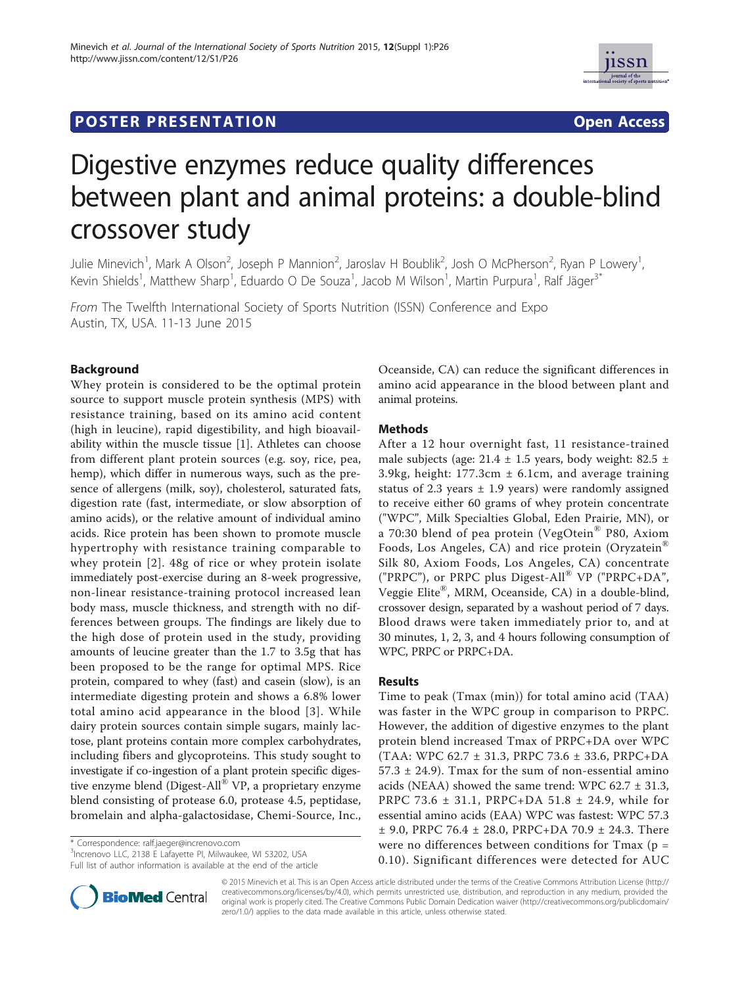# **POSTER PRESENTATION CONSUMING THE SECOND CONSUMING THE SECOND CONSUMING THE SECOND CONSUMING THE SECOND CONSUMING THE SECOND CONSUMING THE SECOND CONSUMING THE SECOND CONSUMING THE SECOND CONSUMING THE SECOND CONSUMING**



# Digestive enzymes reduce quality differences between plant and animal proteins: a double-blind crossover study

Julie Minevich<sup>1</sup>, Mark A Olson<sup>2</sup>, Joseph P Mannion<sup>2</sup>, Jaroslav H Boublik<sup>2</sup>, Josh O McPherson<sup>2</sup>, Ryan P Lowery<sup>1</sup> , Kevin Shields<sup>1</sup>, Matthew Sharp<sup>1</sup>, Eduardo O De Souza<sup>1</sup>, Jacob M Wilson<sup>1</sup>, Martin Purpura<sup>1</sup>, Ralf Jäger<sup>3\*</sup>

From The Twelfth International Society of Sports Nutrition (ISSN) Conference and Expo Austin, TX, USA. 11-13 June 2015

# Background

Whey protein is considered to be the optimal protein source to support muscle protein synthesis (MPS) with resistance training, based on its amino acid content (high in leucine), rapid digestibility, and high bioavailability within the muscle tissue [1]. Athletes can choose from different plant protein sources (e.g. soy, rice, pea, hemp), which differ in numerous ways, such as the presence of allergens (milk, soy), cholesterol, saturated fats, digestion rate (fast, intermediate, or slow absorption of amino acids), or the relative amount of individual amino acids. Rice protein has been shown to promote muscle hypertrophy with resistance training comparable to whey protein [2]. 48g of rice or whey protein isolate immediately post-exercise during an 8-week progressive, non-linear resistance-training protocol increased lean body mass, muscle thickness, and strength with no differences between groups. The findings are likely due to the high dose of protein used in the study, providing amounts of leucine greater than the 1.7 to 3.5g that has been proposed to be the range for optimal MPS. Rice protein, compared to whey (fast) and casein (slow), is an intermediate digesting protein and shows a 6.8% lower total amino acid appearance in the blood [3]. While dairy protein sources contain simple sugars, mainly lactose, plant proteins contain more complex carbohydrates, including fibers and glycoproteins. This study sought to investigate if co-ingestion of a plant protein specific digestive enzyme blend (Digest-All® VP, a proprietary enzyme blend consisting of protease 6.0, protease 4.5, peptidase, bromelain and alpha-galactosidase, Chemi-Source, Inc.,

\* Correspondence: ralf.jaeger@increnovo.com

3 Increnovo LLC, 2138 E Lafayette Pl, Milwaukee, WI 53202, USA Full list of author information is available at the end of the article



### Methods

After a 12 hour overnight fast, 11 resistance-trained male subjects (age:  $21.4 \pm 1.5$  years, body weight: 82.5  $\pm$ 3.9kg, height: 177.3cm ± 6.1cm, and average training status of 2.3 years  $\pm$  1.9 years) were randomly assigned to receive either 60 grams of whey protein concentrate ("WPC", Milk Specialties Global, Eden Prairie, MN), or a 70:30 blend of pea protein (VegOtein® P80, Axiom Foods, Los Angeles, CA) and rice protein (Oryzatein® Silk 80, Axiom Foods, Los Angeles, CA) concentrate ("PRPC"), or PRPC plus Digest-All® VP ("PRPC+DA", Veggie Elite®, MRM, Oceanside, CA) in a double-blind, crossover design, separated by a washout period of 7 days. Blood draws were taken immediately prior to, and at 30 minutes, 1, 2, 3, and 4 hours following consumption of WPC, PRPC or PRPC+DA.

#### Results

Time to peak (Tmax (min)) for total amino acid (TAA) was faster in the WPC group in comparison to PRPC. However, the addition of digestive enzymes to the plant protein blend increased Tmax of PRPC+DA over WPC (TAA: WPC 62.7 ± 31.3, PRPC 73.6 ± 33.6, PRPC+DA  $57.3 \pm 24.9$ ). Tmax for the sum of non-essential amino acids (NEAA) showed the same trend: WPC  $62.7 \pm 31.3$ , PRPC 73.6 ± 31.1, PRPC+DA 51.8 ± 24.9, while for essential amino acids (EAA) WPC was fastest: WPC 57.3 ± 9.0, PRPC 76.4 ± 28.0, PRPC+DA 70.9 ± 24.3. There were no differences between conditions for Tmax (p = 0.10). Significant differences were detected for AUC



© 2015 Minevich et al. This is an Open Access article distributed under the terms of the Creative Commons Attribution License (http:// creativecommons.org/licenses/by/4.0), which permits unrestricted use, distribution, and reproduction in any medium, provided the original work is properly cited. The Creative Commons Public Domain Dedication waiver (http://creativecommons.org/publicdomain/ zero/1.0/) applies to the data made available in this article, unless otherwise stated.